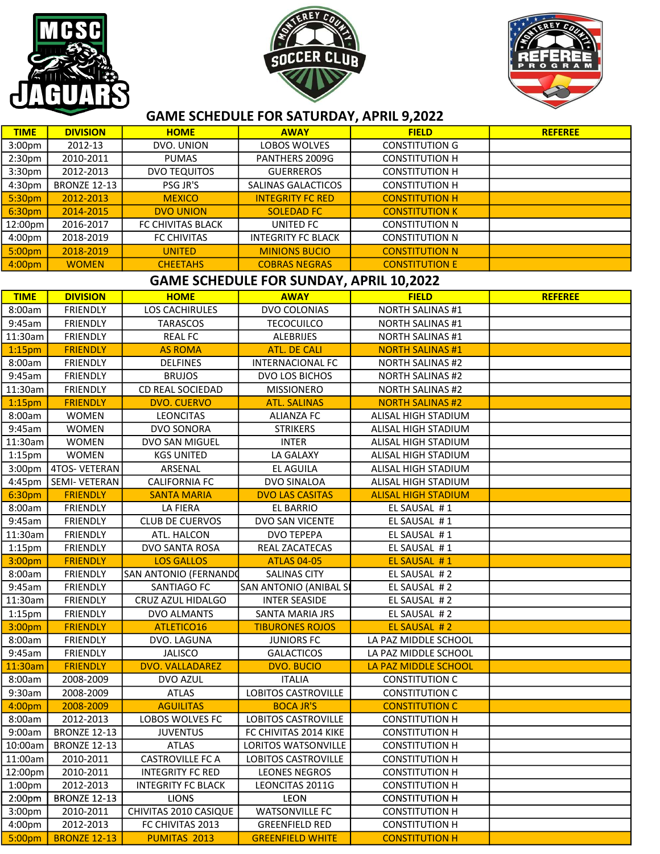





## GAME SCHEDULE FOR SATURDAY, APRIL 9,2022

| <b>TIME</b>                                    | <b>DIVISION</b>                    | <b>HOME</b>                       | <b>AWAY</b>                  | <b>FIELD</b>                                       | <b>REFEREE</b> |  |  |  |
|------------------------------------------------|------------------------------------|-----------------------------------|------------------------------|----------------------------------------------------|----------------|--|--|--|
| 3:00pm                                         | 2012-13                            | DVO. UNION                        | LOBOS WOLVES                 | <b>CONSTITUTION G</b>                              |                |  |  |  |
| 2:30 <sub>pm</sub>                             | 2010-2011                          | <b>PUMAS</b>                      | PANTHERS 2009G               | <b>CONSTITUTION H</b>                              |                |  |  |  |
| 3:30pm                                         | 2012-2013                          | <b>DVO TEQUITOS</b>               | <b>GUERREROS</b>             | <b>CONSTITUTION H</b>                              |                |  |  |  |
| 4:30pm                                         | <b>BRONZE 12-13</b>                | PSG JR'S                          | SALINAS GALACTICOS           | <b>CONSTITUTION H</b>                              |                |  |  |  |
| 5:30pm                                         | 2012-2013                          | <b>MEXICO</b>                     | <b>INTEGRITY FC RED</b>      | <b>CONSTITUTION H</b>                              |                |  |  |  |
| 6:30pm                                         | 2014-2015                          | <b>DVO UNION</b>                  | <b>SOLEDAD FC</b>            | <b>CONSTITUTION K</b>                              |                |  |  |  |
| 12:00pm                                        | 2016-2017                          | FC CHIVITAS BLACK                 | UNITED FC                    | <b>CONSTITUTION N</b>                              |                |  |  |  |
| 4:00pm                                         | 2018-2019                          | <b>FC CHIVITAS</b>                | <b>INTEGRITY FC BLACK</b>    | <b>CONSTITUTION N</b>                              |                |  |  |  |
| 5:00pm                                         | 2018-2019                          | <b>UNITED</b>                     | <b>MINIONS BUCIO</b>         | <b>CONSTITUTION N</b>                              |                |  |  |  |
| 4:00pm                                         | <b>WOMEN</b>                       | <b>CHEETAHS</b>                   | <b>COBRAS NEGRAS</b>         | <b>CONSTITUTION E</b>                              |                |  |  |  |
| <b>GAME SCHEDULE FOR SUNDAY, APRIL 10,2022</b> |                                    |                                   |                              |                                                    |                |  |  |  |
| <b>TIME</b>                                    | <b>DIVISION</b>                    | <b>HOME</b>                       | <b>AWAY</b>                  | <b>FIELD</b>                                       | <b>REFEREE</b> |  |  |  |
| 8:00am                                         | <b>FRIENDLY</b>                    | <b>LOS CACHIRULES</b>             | DVO COLONIAS                 | <b>NORTH SALINAS #1</b>                            |                |  |  |  |
| 9:45am                                         | <b>FRIENDLY</b>                    | <b>TARASCOS</b>                   | <b>TECOCUILCO</b>            | <b>NORTH SALINAS #1</b>                            |                |  |  |  |
| 11:30am                                        | <b>FRIENDLY</b>                    | <b>REAL FC</b>                    | <b>ALEBRIJES</b>             | <b>NORTH SALINAS #1</b>                            |                |  |  |  |
|                                                |                                    |                                   | <b>ATL. DE CALI</b>          | <b>NORTH SALINAS #1</b>                            |                |  |  |  |
| 1:15 <sub>pm</sub>                             | <b>FRIENDLY</b>                    | <b>AS ROMA</b><br><b>DELFINES</b> | <b>INTERNACIONAL FC</b>      |                                                    |                |  |  |  |
| 8:00am<br>9:45am                               | <b>FRIENDLY</b><br><b>FRIENDLY</b> | <b>BRUJOS</b>                     | DVO LOS BICHOS               | <b>NORTH SALINAS #2</b>                            |                |  |  |  |
| 11:30am                                        | <b>FRIENDLY</b>                    | CD REAL SOCIEDAD                  | <b>MISSIONERO</b>            | <b>NORTH SALINAS #2</b><br><b>NORTH SALINAS #2</b> |                |  |  |  |
| 1:15 <sub>pm</sub>                             | <b>FRIENDLY</b>                    | <b>DVO. CUERVO</b>                | <b>ATL. SALINAS</b>          | <b>NORTH SALINAS #2</b>                            |                |  |  |  |
|                                                | <b>WOMEN</b>                       | <b>LEONCITAS</b>                  | <b>ALIANZA FC</b>            | ALISAL HIGH STADIUM                                |                |  |  |  |
| 8:00am<br>9:45am                               | <b>WOMEN</b>                       | DVO SONORA                        | <b>STRIKERS</b>              | ALISAL HIGH STADIUM                                |                |  |  |  |
| 11:30am                                        | <b>WOMEN</b>                       | DVO SAN MIGUEL                    | <b>INTER</b>                 | ALISAL HIGH STADIUM                                |                |  |  |  |
|                                                | <b>WOMEN</b>                       | <b>KGS UNITED</b>                 | LA GALAXY                    | ALISAL HIGH STADIUM                                |                |  |  |  |
| $1:15$ pm<br>3:00pm                            | <b>4TOS- VETERAN</b>               | ARSENAL                           | EL AGUILA                    | ALISAL HIGH STADIUM                                |                |  |  |  |
| 4:45pm                                         | SEMI- VETERAN                      | <b>CALIFORNIA FC</b>              | DVO SINALOA                  | ALISAL HIGH STADIUM                                |                |  |  |  |
| 6:30pm                                         | <b>FRIENDLY</b>                    |                                   | <b>DVO LAS CASITAS</b>       |                                                    |                |  |  |  |
| 8:00am                                         | <b>FRIENDLY</b>                    | <b>SANTA MARIA</b><br>LA FIERA    | <b>EL BARRIO</b>             | <b>ALISAL HIGH STADIUM</b><br>EL SAUSAL #1         |                |  |  |  |
| 9:45am                                         | <b>FRIENDLY</b>                    | <b>CLUB DE CUERVOS</b>            | DVO SAN VICENTE              | EL SAUSAL #1                                       |                |  |  |  |
| 11:30am                                        | <b>FRIENDLY</b>                    | ATL. HALCON                       | <b>DVO TEPEPA</b>            | EL SAUSAL #1                                       |                |  |  |  |
| $1:15$ pm                                      | <b>FRIENDLY</b>                    | DVO SANTA ROSA                    | REAL ZACATECAS               | EL SAUSAL #1                                       |                |  |  |  |
| 3:00pm                                         | <b>FRIENDLY</b>                    | <b>LOS GALLOS</b>                 | <b>ATLAS 04-05</b>           | EL SAUSAL #1                                       |                |  |  |  |
| 8:00am                                         | <b>FRIENDLY</b>                    | SAN ANTONIO (FERNANDO             | <b>SALINAS CITY</b>          | EL SAUSAL #2                                       |                |  |  |  |
| 9:45am                                         | <b>FRIENDLY</b>                    | SANTIAGO FC                       | <b>SAN ANTONIO (ANIBAL S</b> | EL SAUSAL #2                                       |                |  |  |  |
| 11:30am                                        | <b>FRIENDLY</b>                    | CRUZ AZUL HIDALGO                 | <b>INTER SEASIDE</b>         | EL SAUSAL #2                                       |                |  |  |  |
| $1:15$ pm                                      | FRIENDLY                           | DVO ALMANTS                       | SANTA MARIA JRS              | EL SAUSAL #2                                       |                |  |  |  |
| 3:00pm                                         | <b>FRIENDLY</b>                    | ATLETICO16                        | <b>TIBURONES ROJOS</b>       | EL SAUSAL #2                                       |                |  |  |  |
| 8:00am                                         | <b>FRIENDLY</b>                    | DVO. LAGUNA                       | <b>JUNIORS FC</b>            | LA PAZ MIDDLE SCHOOL                               |                |  |  |  |
| 9:45am                                         | <b>FRIENDLY</b>                    | <b>JALISCO</b>                    | <b>GALACTICOS</b>            | LA PAZ MIDDLE SCHOOL                               |                |  |  |  |
| 11:30am                                        | <b>FRIENDLY</b>                    | DVO. VALLADAREZ                   | <b>DVO. BUCIO</b>            | LA PAZ MIDDLE SCHOOL                               |                |  |  |  |
| 8:00am                                         | 2008-2009                          | DVO AZUL                          | <b>ITALIA</b>                | <b>CONSTITUTION C</b>                              |                |  |  |  |
| 9:30am                                         | 2008-2009                          | <b>ATLAS</b>                      | <b>LOBITOS CASTROVILLE</b>   | <b>CONSTITUTION C</b>                              |                |  |  |  |
| 4:00pm                                         | 2008-2009                          | <b>AGUILITAS</b>                  | <b>BOCA JR'S</b>             | <b>CONSTITUTION C</b>                              |                |  |  |  |
| 8:00am                                         | 2012-2013                          | LOBOS WOLVES FC                   | LOBITOS CASTROVILLE          | <b>CONSTITUTION H</b>                              |                |  |  |  |
| 9:00am                                         | <b>BRONZE 12-13</b>                | <b>JUVENTUS</b>                   | FC CHIVITAS 2014 KIKE        | <b>CONSTITUTION H</b>                              |                |  |  |  |
| 10:00am                                        | <b>BRONZE 12-13</b>                | <b>ATLAS</b>                      | LORITOS WATSONVILLE          | <b>CONSTITUTION H</b>                              |                |  |  |  |
| 11:00am                                        | 2010-2011                          | <b>CASTROVILLE FC A</b>           | LOBITOS CASTROVILLE          | <b>CONSTITUTION H</b>                              |                |  |  |  |
| 12:00pm                                        | 2010-2011                          | <b>INTEGRITY FC RED</b>           | <b>LEONES NEGROS</b>         | <b>CONSTITUTION H</b>                              |                |  |  |  |
| 1:00 <sub>pm</sub>                             | 2012-2013                          | <b>INTEGRITY FC BLACK</b>         | LEONCITAS 2011G              | <b>CONSTITUTION H</b>                              |                |  |  |  |
| 2:00 <sub>pm</sub>                             | <b>BRONZE 12-13</b>                | <b>LIONS</b>                      | <b>LEON</b>                  | <b>CONSTITUTION H</b>                              |                |  |  |  |
| 3:00 <sub>pm</sub>                             | 2010-2011                          | CHIVITAS 2010 CASIQUE             | <b>WATSONVILLE FC</b>        | <b>CONSTITUTION H</b>                              |                |  |  |  |
| 4:00pm                                         | 2012-2013                          | FC CHIVITAS 2013                  | <b>GREENFIELD RED</b>        | <b>CONSTITUTION H</b>                              |                |  |  |  |
| 5:00pm                                         | <b>BRONZE 12-13</b>                | <b>PUMITAS 2013</b>               | <b>GREENFIELD WHITE</b>      | <b>CONSTITUTION H</b>                              |                |  |  |  |